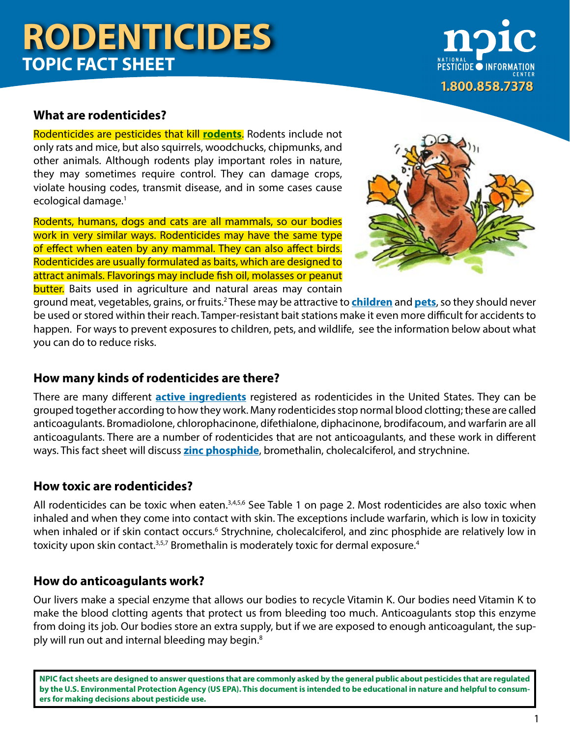**PESTICIDE O INFORM** 1.800.858.7378

### **What are rodenticides?**

Rodenticides are pesticides that kill **[rodents](http://npic.orst.edu/pest/rodent.html)**. Rodents include not only rats and mice, but also squirrels, woodchucks, chipmunks, and other animals. Although rodents play important roles in nature, they may sometimes require control. They can damage crops, violate housing codes, transmit disease, and in some cases cause ecological damage.1

Rodents, humans, dogs and cats are all mammals, so our bodies work in very similar ways. Rodenticides may have the same type of effect when eaten by any mammal. They can also affect birds. Rodenticides are usually formulated as baits, which are designed to attract animals. Flavorings may include fish oil, molasses or peanut **butter.** Baits used in agriculture and natural areas may contain



ground meat, vegetables, grains, or fruits.<sup>2</sup> These may be attractive to **[children](http://npic.orst.edu/health/child.html)** and **[pets](http://npic.orst.edu/health/pets.html)**, so they should never be used or stored within their reach. Tamper-resistant bait stations make it even more difficult for accidents to happen. For ways to prevent exposures to children, pets, and wildlife, see the information below about what you can do to reduce risks.

## **How many kinds of rodenticides are there?**

There are many different **[active ingredients](http://npic.orst.edu/ingred/active.html)** registered as rodenticides in the United States. They can be grouped together according to how they work. Many rodenticides stop normal blood clotting; these are called anticoagulants. Bromadiolone, chlorophacinone, difethialone, diphacinone, brodifacoum, and warfarin are all anticoagulants. There are a number of rodenticides that are not anticoagulants, and these work in different ways. This fact sheet will discuss **[zinc phosphide](http://npic.orst.edu/ingred/zp.html)**, bromethalin, cholecalciferol, and strychnine.

## **How toxic are rodenticides?**

All rodenticides can be toxic when eaten.<sup>3,4,5,6</sup> See Table 1 on page 2. Most rodenticides are also toxic when inhaled and when they come into contact with skin. The exceptions include warfarin, which is low in toxicity when inhaled or if skin contact occurs.<sup>6</sup> Strychnine, cholecalciferol, and zinc phosphide are relatively low in toxicity upon skin contact.<sup>3,5,7</sup> Bromethalin is moderately toxic for dermal exposure.<sup>4</sup>

## **How do anticoagulants work?**

Our livers make a special enzyme that allows our bodies to recycle Vitamin K. Our bodies need Vitamin K to make the blood clotting agents that protect us from bleeding too much. Anticoagulants stop this enzyme from doing its job. Our bodies store an extra supply, but if we are exposed to enough anticoagulant, the supply will run out and internal bleeding may begin.<sup>8</sup>

**NPIC fact sheets are designed to answer questions that are commonly asked by the general public about pesticides that are regulated by the U.S. Environmental Protection Agency (US EPA). This document is intended to be educational in nature and helpful to consumers for making decisions about pesticide use.**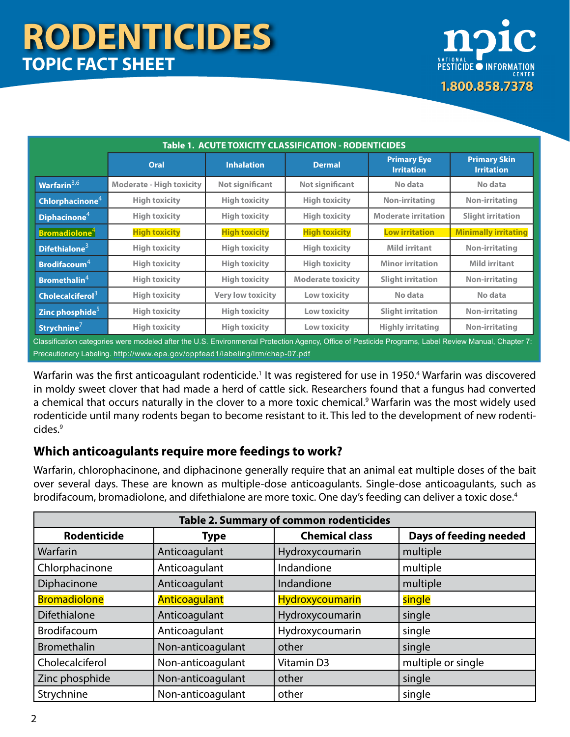

| Table 1. ACUTE TOXICITY CLASSIFICATION - RODENTICIDES |                                 |                                                                                                                                                                                                                                                          |                                                           |                                         |                                          |  |  |  |
|-------------------------------------------------------|---------------------------------|----------------------------------------------------------------------------------------------------------------------------------------------------------------------------------------------------------------------------------------------------------|-----------------------------------------------------------|-----------------------------------------|------------------------------------------|--|--|--|
|                                                       | Oral                            | <b>Inhalation</b>                                                                                                                                                                                                                                        | <b>Dermal</b>                                             | <b>Primary Eye</b><br><b>Irritation</b> | <b>Primary Skin</b><br><b>Irritation</b> |  |  |  |
| Warfarin $3,6$                                        | <b>Moderate - High toxicity</b> | <b>Not significant</b>                                                                                                                                                                                                                                   | <b>Not significant</b>                                    | No data                                 | No data                                  |  |  |  |
| Chlorphacinone <sup>4</sup>                           | <b>High toxicity</b>            | <b>High toxicity</b>                                                                                                                                                                                                                                     | <b>High toxicity</b>                                      | <b>Non-irritating</b>                   | <b>Non-irritating</b>                    |  |  |  |
| Diphacinone $4$                                       | <b>High toxicity</b>            | <b>High toxicity</b>                                                                                                                                                                                                                                     | <b>High toxicity</b>                                      | <b>Moderate irritation</b>              | <b>Slight irritation</b>                 |  |  |  |
| <b>Bromadiolone<sup>4</sup></b>                       | <b>High toxicity</b>            | <b>High toxicity</b>                                                                                                                                                                                                                                     | <b>High toxicity</b>                                      | <b>Low irritation</b>                   | <b>Minimally irritating</b>              |  |  |  |
| Difethialone $3$                                      | <b>High toxicity</b>            | <b>High toxicity</b>                                                                                                                                                                                                                                     | <b>High toxicity</b>                                      | <b>Mild irritant</b>                    | Non-irritating                           |  |  |  |
| <b>Brodifacoum</b> <sup>4</sup>                       | <b>High toxicity</b>            | <b>High toxicity</b>                                                                                                                                                                                                                                     | <b>High toxicity</b>                                      | <b>Minor irritation</b>                 | <b>Mild irritant</b>                     |  |  |  |
| <b>Bromethalin<sup>4</sup></b>                        | <b>High toxicity</b>            | <b>High toxicity</b>                                                                                                                                                                                                                                     | <b>Moderate toxicity</b>                                  | <b>Slight irritation</b>                | <b>Non-irritating</b>                    |  |  |  |
| Cholecalciferol $3$                                   | <b>High toxicity</b>            | <b>Very low toxicity</b>                                                                                                                                                                                                                                 | Low toxicity                                              | No data                                 | No data                                  |  |  |  |
| Zinc phosphide <sup>5</sup>                           | <b>High toxicity</b>            | <b>High toxicity</b>                                                                                                                                                                                                                                     | Low toxicity                                              | <b>Slight irritation</b>                | <b>Non-irritating</b>                    |  |  |  |
| Strychnine $7$                                        | <b>High toxicity</b>            | <b>High toxicity</b><br>$\mathbf{r}$ , and the set of the set of the set of the set of the set of the set of the set of the set of the set of the set of the set of the set of the set of the set of the set of the set of the set of the set of the set | Low toxicity<br>$\sim$ $\sim$ $\sim$ $\sim$ $\sim$ $\sim$ | <b>Highly irritating</b>                | <b>Non-irritating</b>                    |  |  |  |

Classification categories were modeled after the U.S. Environmental Protection Agency, Office of Pesticide Programs, Label Review Manual, Chapter 7: Precautionary Labeling.<http://www.epa.gov/oppfead1/labeling/lrm/chap-07.pdf>

Warfarin was the first anticoagulant rodenticide.<sup>1</sup> It was registered for use in 1950.<sup>4</sup> Warfarin was discovered in moldy sweet clover that had made a herd of cattle sick. Researchers found that a fungus had converted a chemical that occurs naturally in the clover to a more toxic chemical.<sup>9</sup> Warfarin was the most widely used rodenticide until many rodents began to become resistant to it. This led to the development of new rodenticides.9

## **Which anticoagulants require more feedings to work?**

Warfarin, chlorophacinone, and diphacinone generally require that an animal eat multiple doses of the bait over several days. These are known as multiple-dose anticoagulants. Single-dose anticoagulants, such as brodifacoum, bromadiolone, and difethialone are more toxic. One day's feeding can deliver a toxic dose.<sup>4</sup>

| Table 2. Summary of common rodenticides |                   |                       |                        |  |  |  |  |
|-----------------------------------------|-------------------|-----------------------|------------------------|--|--|--|--|
| <b>Rodenticide</b>                      | <b>Type</b>       | <b>Chemical class</b> | Days of feeding needed |  |  |  |  |
| Warfarin                                | Anticoagulant     | Hydroxycoumarin       | multiple               |  |  |  |  |
| Chlorphacinone                          | Anticoagulant     | Indandione            | multiple               |  |  |  |  |
| Diphacinone                             | Anticoagulant     | Indandione            | multiple               |  |  |  |  |
| <b>Bromadiolone</b>                     | Anticoagulant     | Hydroxycoumarin       | single                 |  |  |  |  |
| <b>Difethialone</b>                     | Anticoagulant     | Hydroxycoumarin       | single                 |  |  |  |  |
| <b>Brodifacoum</b>                      | Anticoagulant     | Hydroxycoumarin       | single                 |  |  |  |  |
| <b>Bromethalin</b>                      | Non-anticoagulant | other                 | single                 |  |  |  |  |
| Cholecalciferol                         | Non-anticoagulant | Vitamin D3            | multiple or single     |  |  |  |  |
| Zinc phosphide                          | Non-anticoagulant | other                 | single                 |  |  |  |  |
| Strychnine                              | Non-anticoagulant | other                 | single                 |  |  |  |  |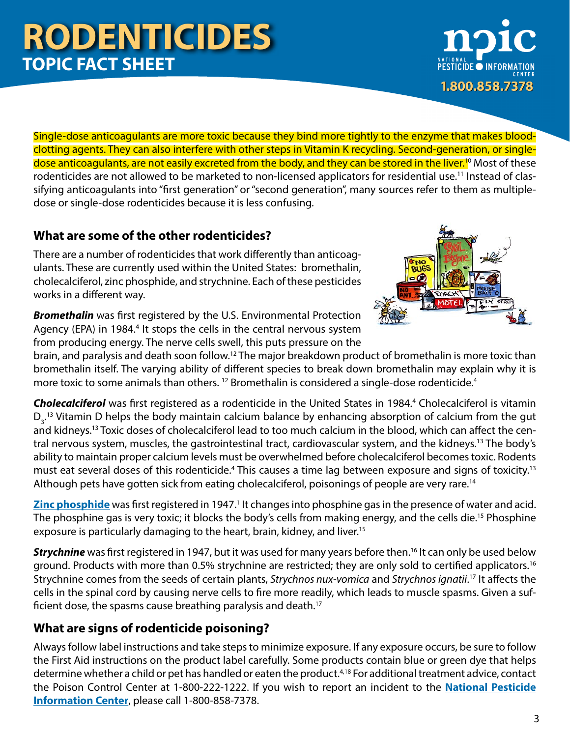Single-dose anticoagulants are more toxic because they bind more tightly to the enzyme that makes bloodclotting agents. They can also interfere with other steps in Vitamin K recycling. Second-generation, or singledose anticoagulants, are not easily excreted from the body, and they can be stored in the liver.<sup>10</sup> Most of these rodenticides are not allowed to be marketed to non-licensed applicators for residential use.<sup>11</sup> Instead of classifying anticoagulants into "first generation" or "second generation", many sources refer to them as multipledose or single-dose rodenticides because it is less confusing.

## **What are some of the other rodenticides?**

There are a number of rodenticides that work differently than anticoagulants. These are currently used within the United States: bromethalin, cholecalciferol, zinc phosphide, and strychnine. Each of these pesticides works in a different way.

*Bromethalin* was first registered by the U.S. Environmental Protection Agency (EPA) in 1984.<sup>4</sup> It stops the cells in the central nervous system from producing energy. The nerve cells swell, this puts pressure on the

brain, and paralysis and death soon follow.12 The major breakdown product of bromethalin is more toxic than bromethalin itself. The varying ability of different species to break down bromethalin may explain why it is more toxic to some animals than others. <sup>12</sup> Bromethalin is considered a single-dose rodenticide.<sup>4</sup>

**Cholecalciferol** was first registered as a rodenticide in the United States in 1984.<sup>4</sup> Cholecalciferol is vitamin  $D_{3}$ .<sup>13</sup> Vitamin D helps the body maintain calcium balance by enhancing absorption of calcium from the gut and kidneys.13 Toxic doses of cholecalciferol lead to too much calcium in the blood, which can affect the central nervous system, muscles, the gastrointestinal tract, cardiovascular system, and the kidneys.13 The body's ability to maintain proper calcium levels must be overwhelmed before cholecalciferol becomes toxic. Rodents must eat several doses of this rodenticide.<sup>4</sup> This causes a time lag between exposure and signs of toxicity.<sup>13</sup> Although pets have gotten sick from eating cholecalciferol, poisonings of people are very rare.<sup>14</sup>

[Zinc phosphide](http://npic.orst.edu/ingred/zp.html) was first registered in 1947.<sup>1</sup> It changes into phosphine gas in the presence of water and acid. The phosphine gas is very toxic; it blocks the body's cells from making energy, and the cells die.15 Phosphine exposure is particularly damaging to the heart, brain, kidney, and liver.<sup>15</sup>

**Strychnine** was first registered in 1947, but it was used for many years before then.<sup>16</sup> It can only be used below ground. Products with more than 0.5% strychnine are restricted; they are only sold to certified applicators.16 Strychnine comes from the seeds of certain plants, *Strychnos nux-vomica* and *Strychnos ignatii*. 17 It affects the cells in the spinal cord by causing nerve cells to fire more readily, which leads to muscle spasms. Given a sufficient dose, the spasms cause breathing paralysis and death.<sup>17</sup>

# **What are signs of rodenticide poisoning?**

Always follow label instructions and take steps to minimize exposure. If any exposure occurs, be sure to follow the First Aid instructions on the product label carefully. Some products contain blue or green dye that helps determine whether a child or pet has handled or eaten the product.<sup>4,18</sup> For additional treatment advice, contact the Poison Control Center at 1-800-222-1222. If you wish to report an incident to the **[National Pesticide](http://www.npic.orst.edu) [Information Center](http://www.npic.orst.edu)**, please call 1-800-858-7378.



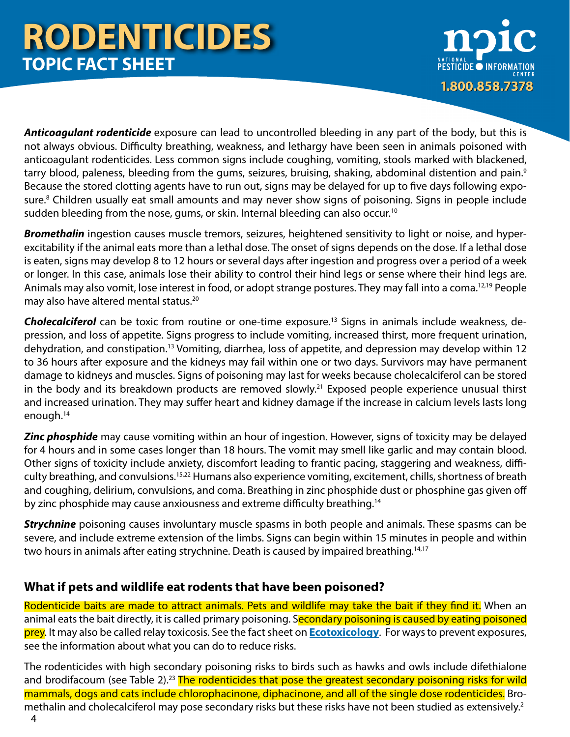

*Anticoagulant rodenticide* exposure can lead to uncontrolled bleeding in any part of the body, but this is not always obvious. Difficulty breathing, weakness, and lethargy have been seen in animals poisoned with anticoagulant rodenticides. Less common signs include coughing, vomiting, stools marked with blackened, tarry blood, paleness, bleeding from the gums, seizures, bruising, shaking, abdominal distention and pain.<sup>9</sup> Because the stored clotting agents have to run out, signs may be delayed for up to five days following exposure.<sup>8</sup> Children usually eat small amounts and may never show signs of poisoning. Signs in people include sudden bleeding from the nose, gums, or skin. Internal bleeding can also occur.<sup>10</sup>

*Bromethalin* ingestion causes muscle tremors, seizures, heightened sensitivity to light or noise, and hyperexcitability if the animal eats more than a lethal dose. The onset of signs depends on the dose. If a lethal dose is eaten, signs may develop 8 to 12 hours or several days after ingestion and progress over a period of a week or longer. In this case, animals lose their ability to control their hind legs or sense where their hind legs are. Animals may also vomit, lose interest in food, or adopt strange postures. They may fall into a coma.<sup>12,19</sup> People may also have altered mental status.20

*Cholecalciferol* can be toxic from routine or one-time exposure.13 Signs in animals include weakness, depression, and loss of appetite. Signs progress to include vomiting, increased thirst, more frequent urination, dehydration, and constipation.13 Vomiting, diarrhea, loss of appetite, and depression may develop within 12 to 36 hours after exposure and the kidneys may fail within one or two days. Survivors may have permanent damage to kidneys and muscles. Signs of poisoning may last for weeks because cholecalciferol can be stored in the body and its breakdown products are removed slowly.<sup>21</sup> Exposed people experience unusual thirst and increased urination. They may suffer heart and kidney damage if the increase in calcium levels lasts long enough.14

**Zinc phosphide** may cause vomiting within an hour of ingestion. However, signs of toxicity may be delayed for 4 hours and in some cases longer than 18 hours. The vomit may smell like garlic and may contain blood. Other signs of toxicity include anxiety, discomfort leading to frantic pacing, staggering and weakness, difficulty breathing, and convulsions.15,22 Humans also experience vomiting, excitement, chills, shortness of breath and coughing, delirium, convulsions, and coma. Breathing in zinc phosphide dust or phosphine gas given off by zinc phosphide may cause anxiousness and extreme difficulty breathing.<sup>14</sup>

*Strychnine* poisoning causes involuntary muscle spasms in both people and animals. These spasms can be severe, and include extreme extension of the limbs. Signs can begin within 15 minutes in people and within two hours in animals after eating strychnine. Death is caused by impaired breathing.<sup>14,17</sup>

## **What if pets and wildlife eat rodents that have been poisoned?**

Rodenticide baits are made to attract animals. Pets and wildlife may take the bait if they find it. When an animal eats the bait directly, it is called primary poisoning. Secondary poisoning is caused by eating poisoned prey. It may also be called relay toxicosis. See the fact sheet on **[Ecotoxicology](http://npic.orst.edu/factsheets/ecotox.pdf)**. For ways to prevent exposures, see the information about what you can do to reduce risks.

4 The rodenticides with high secondary poisoning risks to birds such as hawks and owls include difethialone and brodifacoum (see Table 2).<sup>23</sup> The rodenticides that pose the greatest secondary poisoning risks for wild mammals, dogs and cats include chlorophacinone, diphacinone, and all of the single dose rodenticides. Bromethalin and cholecalciferol may pose secondary risks but these risks have not been studied as extensively.<sup>2</sup>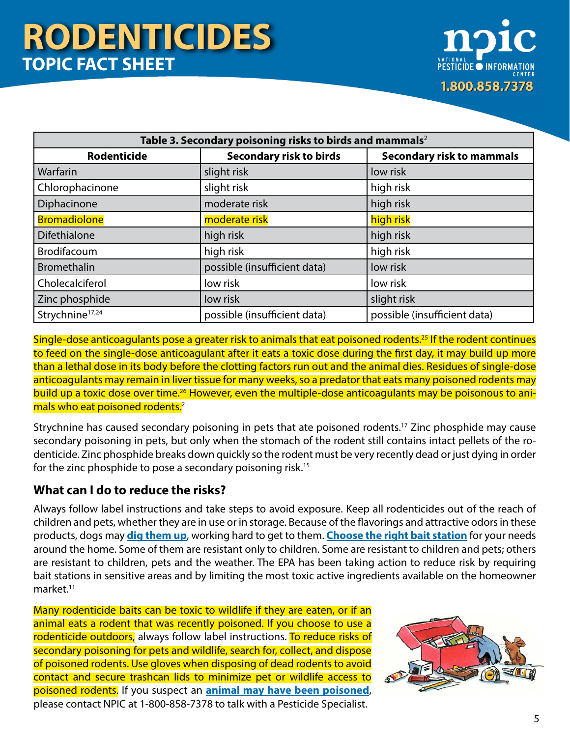

| Table 3. Secondary poisoning risks to birds and mammals <sup>2</sup> |                                |                                  |  |  |  |  |
|----------------------------------------------------------------------|--------------------------------|----------------------------------|--|--|--|--|
| <b>Rodenticide</b>                                                   | <b>Secondary risk to birds</b> | <b>Secondary risk to mammals</b> |  |  |  |  |
| Warfarin                                                             | slight risk                    | low risk                         |  |  |  |  |
| Chlorophacinone                                                      | slight risk                    | high risk                        |  |  |  |  |
| Diphacinone                                                          | moderate risk                  | high risk                        |  |  |  |  |
| <b>Bromadiolone</b>                                                  | moderate risk                  | high risk                        |  |  |  |  |
| <b>Difethialone</b>                                                  | high risk                      | high risk                        |  |  |  |  |
| Brodifacoum                                                          | high risk                      | high risk                        |  |  |  |  |
| <b>Bromethalin</b>                                                   | possible (insufficient data)   | low risk                         |  |  |  |  |
| Cholecalciferol                                                      | low risk                       | low risk                         |  |  |  |  |
| Zinc phosphide                                                       | low risk                       | slight risk                      |  |  |  |  |
| Strychnine <sup>17,24</sup>                                          | possible (insufficient data)   | possible (insufficient data)     |  |  |  |  |

Single-dose anticoagulants pose a greater risk to animals that eat poisoned rodents.25 If the rodent continues to feed on the single-dose anticoagulant after it eats a toxic dose during the first day, it may build up more than a lethal dose in its body before the clotting factors run out and the animal dies. Residues of single-dose anticoagulants may remain in liver tissue for many weeks, so a predator that eats many poisoned rodents may build up a toxic dose over time.<sup>26</sup> However, even the multiple-dose anticoagulants may be poisonous to animals who eat poisoned rodents.<sup>2</sup>

Strychnine has caused secondary poisoning in pets that ate poisoned rodents.<sup>17</sup> Zinc phosphide may cause secondary poisoning in pets, but only when the stomach of the rodent still contains intact pellets of the rodenticide. Zinc phosphide breaks down quickly so the rodent must be very recently dead or just dying in order for the zinc phosphide to pose a secondary poisoning risk.<sup>15</sup>

## **What can I do to reduce the risks?**

Always follow label instructions and take steps to avoid exposure. Keep all rodenticides out of the reach of children and pets, whether they are in use or in storage. Because of the flavorings and attractive odors in these products, dogs may **[dig them up](http://npic.orst.edu/capro/CoverHolesBaitingMoles.pdf)**, working hard to get to them. **[Choose the right bait station](https://www.epa.gov/rodenticides/choosing-bait-station-product-household-use)** for your needs around the home. Some of them are resistant only to children. Some are resistant to children and pets; others are resistant to children, pets and the weather. The EPA has been taking action to reduce risk by requiring bait stations in sensitive areas and by limiting the most toxic active ingredients available on the homeowner market.<sup>11</sup>

Many rodenticide baits can be toxic to wildlife if they are eaten, or if an animal eats a rodent that was recently poisoned. If you choose to use a rodenticide outdoors, always follow label instructions. To reduce risks of secondary poisoning for pets and wildlife, search for, collect, and dispose of poisoned rodents. Use gloves when disposing of dead rodents to avoid contact and secure trashcan lids to minimize pet or wildlife access to poisoned rodents. If you suspect an **[animal may have been poisoned](http://npic.orst.edu/incidents.html#anim)**, please contact NPIC at 1-800-858-7378 to talk with a Pesticide Specialist.

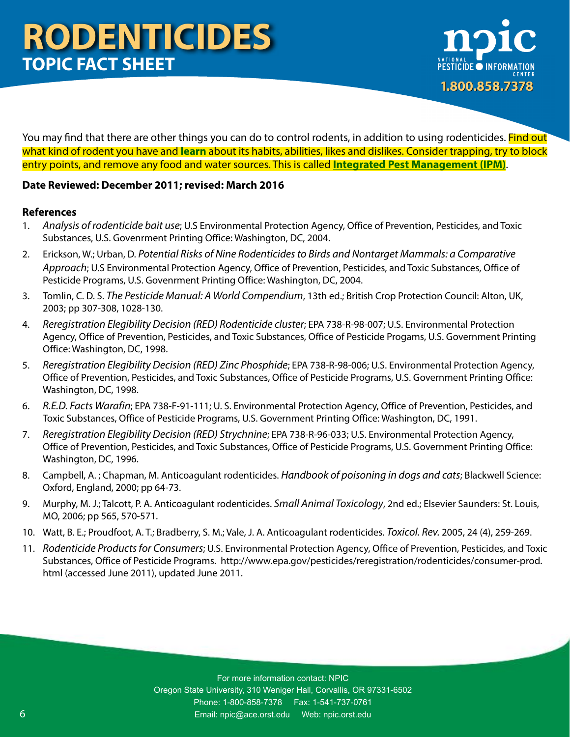

You may find that there are other things you can do to control rodents, in addition to using rodenticides. Find out what kind of rodent you have and **[learn](http://npic.orst.edu/pest/rodent.html)** about its habits, abilities, likes and dislikes. Consider trapping, try to block entry points, and remove any food and water sources. This is called **[Integrated Pest Management \(IPM\)](http://npic.orst.edu/pest/ipm.html)**.

### **Date Reviewed: December 2011; revised: March 2016**

### **References**

- 1. *Analysis of rodenticide bait use*; U.S Environmental Protection Agency, Office of Prevention, Pesticides, and Toxic Substances, U.S. Govenrment Printing Office: Washington, DC, 2004.
- 2. Erickson, W.; Urban, D. *Potential Risks of Nine Rodenticides to Birds and Nontarget Mammals: a Comparative Approach*; U.S Environmental Protection Agency, Office of Prevention, Pesticides, and Toxic Substances, Office of Pesticide Programs, U.S. Govenrment Printing Office: Washington, DC, 2004.
- 3. Tomlin, C. D. S. *The Pesticide Manual: A World Compendium*, 13th ed.; British Crop Protection Council: Alton, UK, 2003; pp 307-308, 1028-130.
- 4. *Reregistration Elegibility Decision (RED) Rodenticide cluster*; EPA 738-R-98-007; U.S. Environmental Protection Agency, Office of Prevention, Pesticides, and Toxic Substances, Office of Pesticide Progams, U.S. Government Printing Office: Washington, DC, 1998.
- 5. *Reregistration Elegibility Decision (RED) Zinc Phosphide*; EPA 738-R-98-006; U.S. Environmental Protection Agency, Office of Prevention, Pesticides, and Toxic Substances, Office of Pesticide Programs, U.S. Government Printing Office: Washington, DC, 1998.
- 6. *R.E.D. Facts Warafin*; EPA 738-F-91-111; U. S. Environmental Protection Agency, Office of Prevention, Pesticides, and Toxic Substances, Office of Pesticide Programs, U.S. Government Printing Office: Washington, DC, 1991.
- 7. *Reregistration Elegibility Decision (RED) Strychnine*; EPA 738-R-96-033; U.S. Environmental Protection Agency, Office of Prevention, Pesticides, and Toxic Substances, Office of Pesticide Programs, U.S. Government Printing Office: Washington, DC, 1996.
- 8. Campbell, A. ; Chapman, M. Anticoagulant rodenticides. *Handbook of poisoning in dogs and cats*; Blackwell Science: Oxford, England, 2000; pp 64-73.
- 9. Murphy, M. J.; Talcott, P. A. Anticoagulant rodenticides. *Small Animal Toxicology*, 2nd ed.; Elsevier Saunders: St. Louis, MO, 2006; pp 565, 570-571.
- 10. Watt, B. E.; Proudfoot, A. T.; Bradberry, S. M.; Vale, J. A. Anticoagulant rodenticides. *Toxicol. Rev.* 2005, 24 (4), 259-269.
- 11. *Rodenticide Products for Consumers*; U.S. Environmental Protection Agency, Office of Prevention, Pesticides, and Toxic Substances, Office of Pesticide Programs. http://www.epa.gov/pesticides/reregistration/rodenticides/consumer-prod. html (accessed June 2011), updated June 2011.

For more information contact: NPIC Oregon State University, 310 Weniger Hall, Corvallis, OR 97331-6502 Phone: 1-800-858-7378 Fax: 1-541-737-0761 Email: npic@ace.orst.edu Web: [npic.orst.edu](http://www.npic.orst.edu)